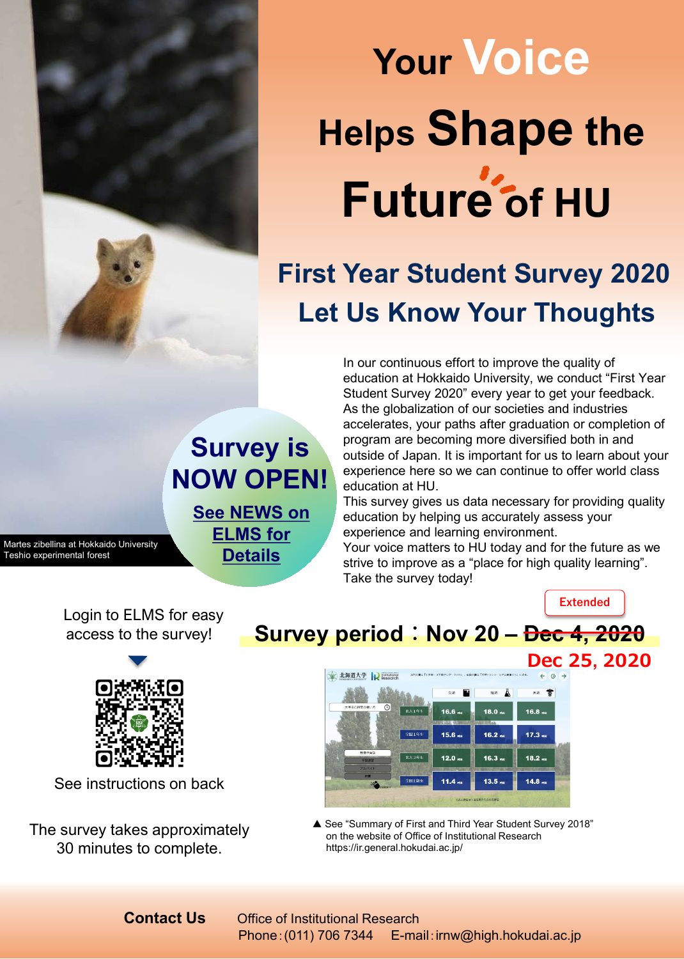## **Your Voice Helps Shape the Future of HU**

## **First Year Student Survey 2020 Let Us Know Your Thoughts**

**See NEWS on ELMS for Details Survey is NOW OPEN!** In our continuous effort to improve the quality of education at Hokkaido University, we conduct "First Year Student Survey 2020" every year to get your feedback. As the globalization of our societies and industries accelerates, your paths after graduation or completion of program are becoming more diversified both in and outside of Japan. It is important for us to learn about your experience here so we can continue to offer world class education at HU.

This survey gives us data necessary for providing quality education by helping us accurately assess your experience and learning environment.

Your voice matters to HU today and for the future as we strive to improve as a "place for high quality learning". Take the survey today!

**Extended**

Login to ELMS for easy access to the survey!

Martes zibellina at Hokkaido University

Teshio experimental forest





See instructions on back

The survey takes approximately 30 minutes to complete.



▲ See "Summary of First and Third Year Student Survey 2018" on the website of Office of Institutional Research https://ir.general.hokudai.ac.jp/